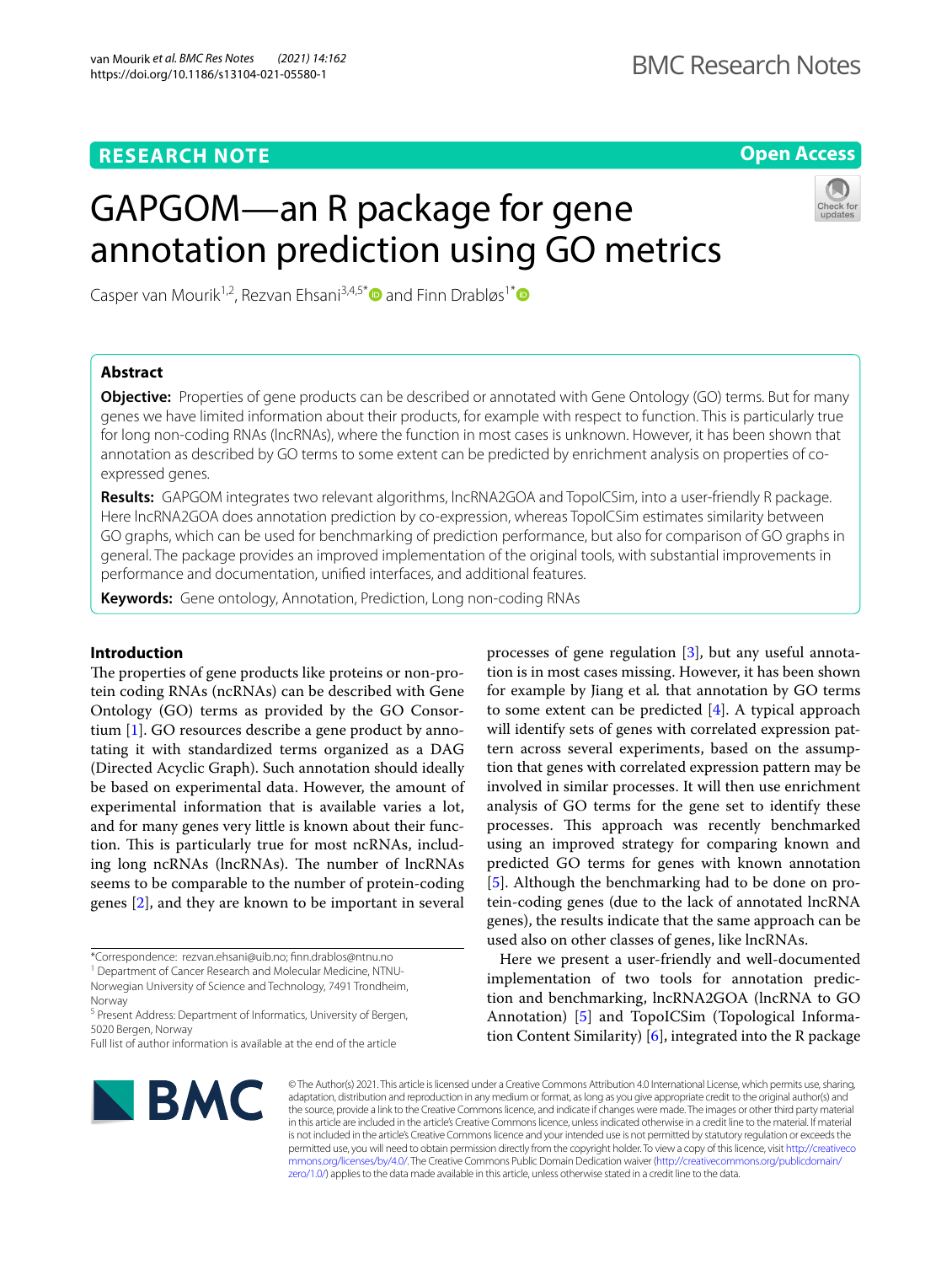# **RESEARCH NOTE**

**Open Access**

# GAPGOM—an R package for gene annotation prediction using GO metrics

Casper van Mourik<sup>1,2</sup>, Rezvan Ehsani<sup>3,4,5[\\*](http://orcid.org/0000-0001-5794-828X)</sup> and Finn Drabløs<sup>1\*</sup>



## **Abstract**

**Objective:** Properties of gene products can be described or annotated with Gene Ontology (GO) terms. But for many genes we have limited information about their products, for example with respect to function. This is particularly true for long non-coding RNAs (lncRNAs), where the function in most cases is unknown. However, it has been shown that annotation as described by GO terms to some extent can be predicted by enrichment analysis on properties of coexpressed genes.

**Results:** GAPGOM integrates two relevant algorithms, lncRNA2GOA and TopoICSim, into a user-friendly R package. Here lncRNA2GOA does annotation prediction by co-expression, whereas TopoICSim estimates similarity between GO graphs, which can be used for benchmarking of prediction performance, but also for comparison of GO graphs in general. The package provides an improved implementation of the original tools, with substantial improvements in performance and documentation, unifed interfaces, and additional features.

**Keywords:** Gene ontology, Annotation, Prediction, Long non-coding RNAs

## **Introduction**

The properties of gene products like proteins or non-protein coding RNAs (ncRNAs) can be described with Gene Ontology (GO) terms as provided by the GO Consortium [[1\]](#page-3-0). GO resources describe a gene product by annotating it with standardized terms organized as a DAG (Directed Acyclic Graph). Such annotation should ideally be based on experimental data. However, the amount of experimental information that is available varies a lot, and for many genes very little is known about their function. This is particularly true for most ncRNAs, including long ncRNAs (lncRNAs). The number of lncRNAs seems to be comparable to the number of protein-coding genes [[2](#page-3-1)], and they are known to be important in several

Norway <sup>5</sup> Present Address: Department of Informatics, University of Bergen, processes of gene regulation [[3\]](#page-3-2), but any useful annotation is in most cases missing. However, it has been shown for example by Jiang et al*.* that annotation by GO terms to some extent can be predicted [\[4\]](#page-3-3). A typical approach will identify sets of genes with correlated expression pattern across several experiments, based on the assumption that genes with correlated expression pattern may be involved in similar processes. It will then use enrichment analysis of GO terms for the gene set to identify these processes. This approach was recently benchmarked using an improved strategy for comparing known and predicted GO terms for genes with known annotation [[5\]](#page-3-4). Although the benchmarking had to be done on protein-coding genes (due to the lack of annotated lncRNA genes), the results indicate that the same approach can be used also on other classes of genes, like lncRNAs.

Here we present a user-friendly and well-documented implementation of two tools for annotation prediction and benchmarking, lncRNA2GOA (lncRNA to GO Annotation) [[5\]](#page-3-4) and TopoICSim (Topological Information Content Similarity) [\[6](#page-4-0)], integrated into the R package



© The Author(s) 2021. This article is licensed under a Creative Commons Attribution 4.0 International License, which permits use, sharing, adaptation, distribution and reproduction in any medium or format, as long as you give appropriate credit to the original author(s) and the source, provide a link to the Creative Commons licence, and indicate if changes were made. The images or other third party material in this article are included in the article's Creative Commons licence, unless indicated otherwise in a credit line to the material. If material is not included in the article's Creative Commons licence and your intended use is not permitted by statutory regulation or exceeds the permitted use, you will need to obtain permission directly from the copyright holder. To view a copy of this licence, visit [http://creativeco](http://creativecommons.org/licenses/by/4.0/) [mmons.org/licenses/by/4.0/.](http://creativecommons.org/licenses/by/4.0/) The Creative Commons Public Domain Dedication waiver ([http://creativecommons.org/publicdomain/](http://creativecommons.org/publicdomain/zero/1.0/) [zero/1.0/\)](http://creativecommons.org/publicdomain/zero/1.0/) applies to the data made available in this article, unless otherwise stated in a credit line to the data.

<sup>\*</sup>Correspondence: rezvan.ehsani@uib.no; fnn.drablos@ntnu.no

<sup>&</sup>lt;sup>1</sup> Department of Cancer Research and Molecular Medicine, NTNU-Norwegian University of Science and Technology, 7491 Trondheim,

<sup>5020</sup> Bergen, Norway Full list of author information is available at the end of the article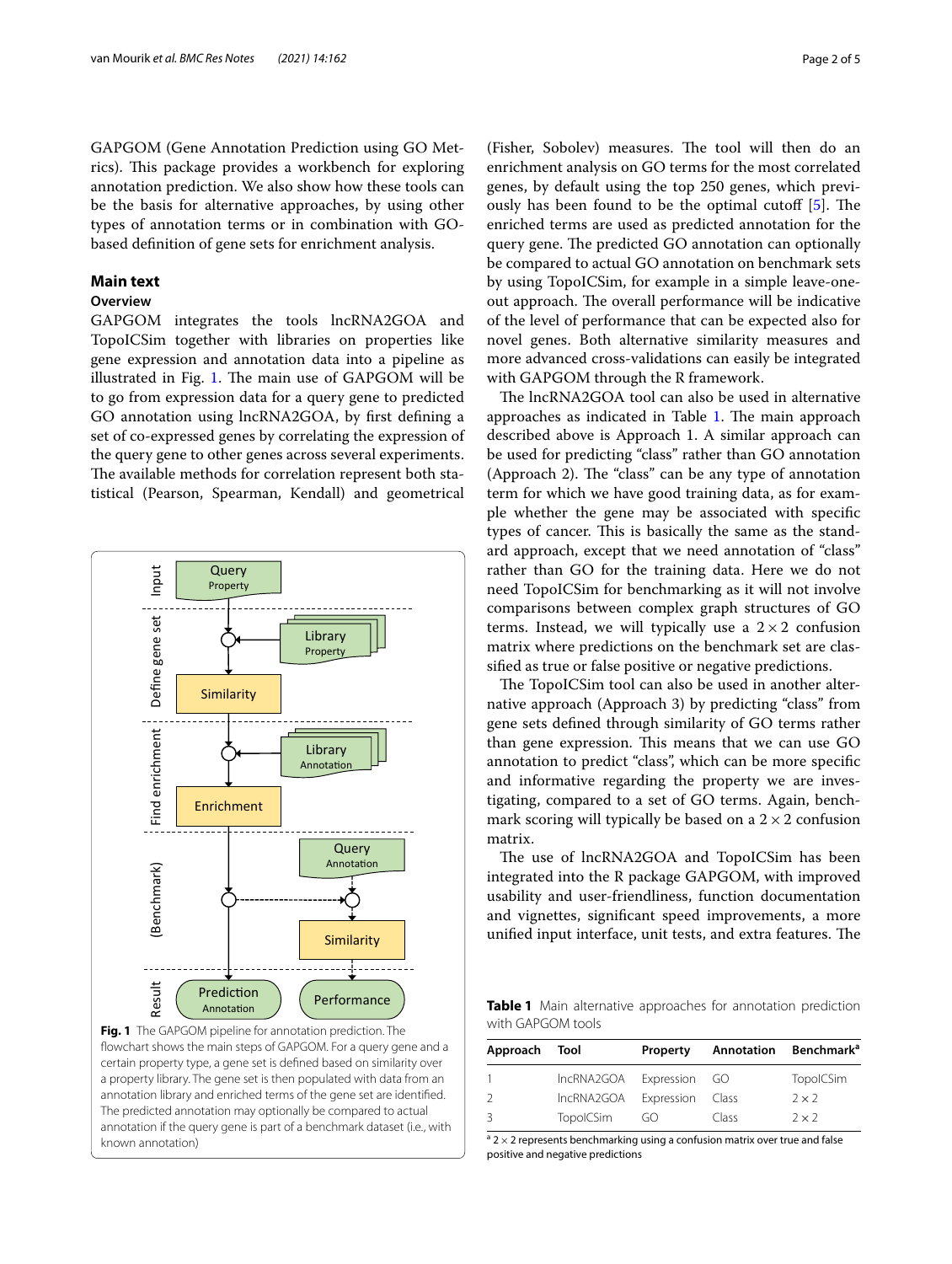GAPGOM (Gene Annotation Prediction using GO Metrics). This package provides a workbench for exploring annotation prediction. We also show how these tools can be the basis for alternative approaches, by using other types of annotation terms or in combination with GObased defnition of gene sets for enrichment analysis.

## **Main text**

## **Overview**

GAPGOM integrates the tools lncRNA2GOA and TopoICSim together with libraries on properties like gene expression and annotation data into a pipeline as illustrated in Fig. [1.](#page-1-0) The main use of  $GAPGOM$  will be to go from expression data for a query gene to predicted GO annotation using lncRNA2GOA, by frst defning a set of co-expressed genes by correlating the expression of the query gene to other genes across several experiments. The available methods for correlation represent both statistical (Pearson, Spearman, Kendall) and geometrical



<span id="page-1-0"></span>**Fig. 1** The GAPGOM pipeline for annotation prediction. The fowchart shows the main steps of GAPGOM. For a query gene and a certain property type, a gene set is defned based on similarity over a property library. The gene set is then populated with data from an annotation library and enriched terms of the gene set are identifed. The predicted annotation may optionally be compared to actual annotation if the query gene is part of a benchmark dataset (i.e*.*, with known annotation)

(Fisher, Sobolev) measures. The tool will then do an enrichment analysis on GO terms for the most correlated genes, by default using the top 250 genes, which previously has been found to be the optimal cutoff  $[5]$  $[5]$ . The enriched terms are used as predicted annotation for the query gene. The predicted GO annotation can optionally be compared to actual GO annotation on benchmark sets by using TopoICSim, for example in a simple leave-oneout approach. The overall performance will be indicative of the level of performance that can be expected also for novel genes. Both alternative similarity measures and more advanced cross-validations can easily be integrated with GAPGOM through the R framework.

The lncRNA2GOA tool can also be used in alternative approaches as indicated in Table [1](#page-1-1). The main approach described above is Approach 1. A similar approach can be used for predicting "class" rather than GO annotation (Approach 2). The "class" can be any type of annotation term for which we have good training data, as for example whether the gene may be associated with specifc types of cancer. This is basically the same as the standard approach, except that we need annotation of "class" rather than GO for the training data. Here we do not need TopoICSim for benchmarking as it will not involve comparisons between complex graph structures of GO terms. Instead, we will typically use a  $2 \times 2$  confusion matrix where predictions on the benchmark set are classifed as true or false positive or negative predictions.

The TopoICSim tool can also be used in another alternative approach (Approach 3) by predicting "class" from gene sets defned through similarity of GO terms rather than gene expression. This means that we can use GO annotation to predict "class", which can be more specifc and informative regarding the property we are investigating, compared to a set of GO terms. Again, benchmark scoring will typically be based on a  $2 \times 2$  confusion matrix.

The use of lncRNA2GOA and TopoICSim has been integrated into the R package GAPGOM, with improved usability and user-friendliness, function documentation and vignettes, signifcant speed improvements, a more unified input interface, unit tests, and extra features. The

<span id="page-1-1"></span>**Table 1** Main alternative approaches for annotation prediction with GAPGOM tools

| Approach      | Tool             | Property   | Annotation | Benchmark <sup>a</sup> |
|---------------|------------------|------------|------------|------------------------|
| $\mathbf{1}$  | IncRNA2GOA       | Expression | - GO       | TopolCSim              |
| $\mathcal{L}$ | IncRNA2GOA       | Expression | Class      | $2 \times 2$           |
| 3             | <b>TopolCSim</b> | GO         | Class      | $2 \times 2$           |

 $a$  2  $\times$  2 represents benchmarking using a confusion matrix over true and false positive and negative predictions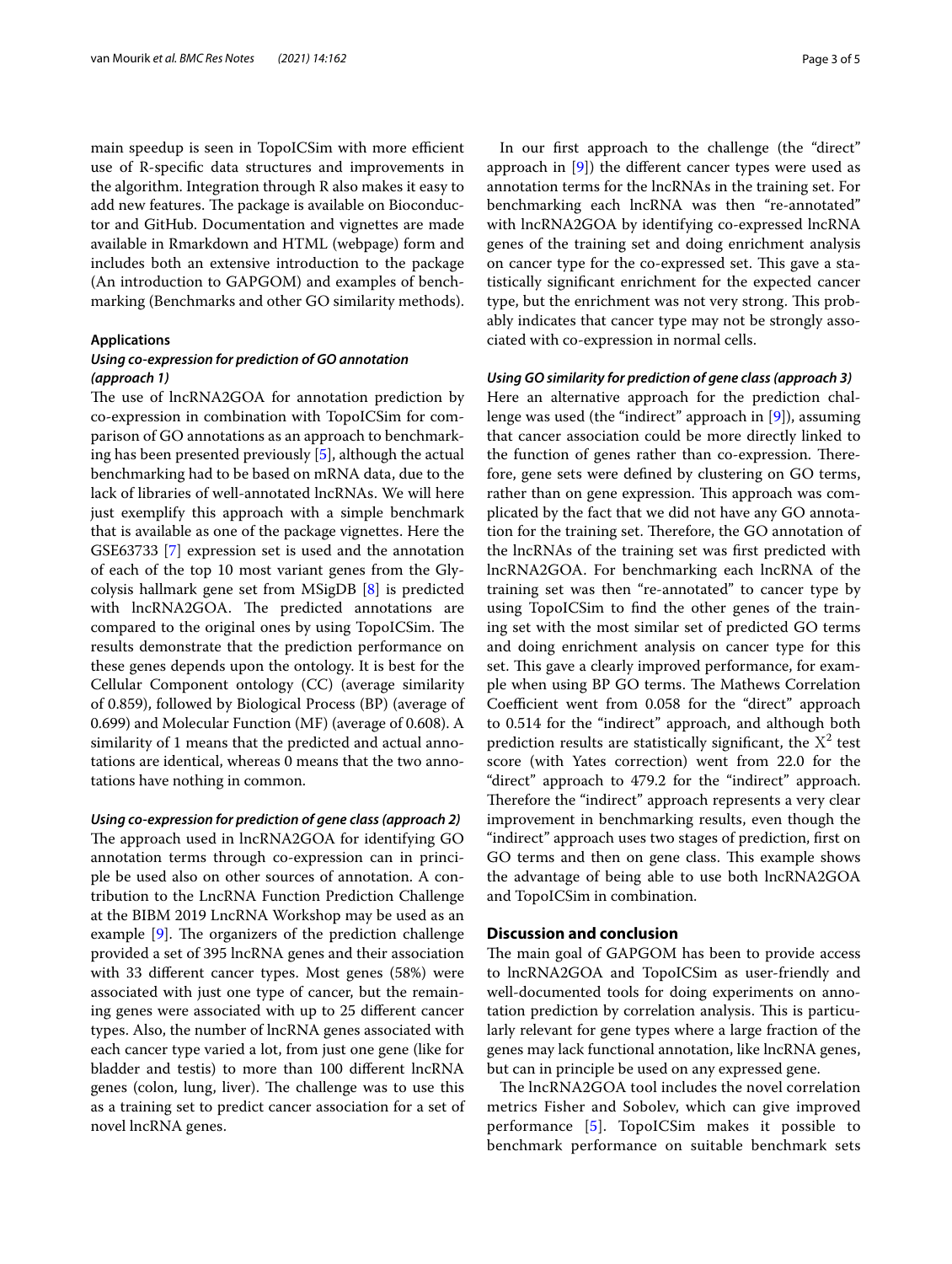main speedup is seen in TopoICSim with more efficient use of R-specifc data structures and improvements in the algorithm. Integration through R also makes it easy to add new features. The package is available on Bioconductor and GitHub. Documentation and vignettes are made available in Rmarkdown and HTML (webpage) form and includes both an extensive introduction to the package (An introduction to GAPGOM) and examples of benchmarking (Benchmarks and other GO similarity methods).

## **Applications**

## *Using co‑expression for prediction of GO annotation (approach 1)*

The use of lncRNA2GOA for annotation prediction by co-expression in combination with TopoICSim for comparison of GO annotations as an approach to benchmarking has been presented previously [[5\]](#page-3-4), although the actual benchmarking had to be based on mRNA data, due to the lack of libraries of well-annotated lncRNAs. We will here just exemplify this approach with a simple benchmark that is available as one of the package vignettes. Here the GSE63733 [[7\]](#page-4-1) expression set is used and the annotation of each of the top 10 most variant genes from the Glycolysis hallmark gene set from MSigDB [[8\]](#page-4-2) is predicted with lncRNA2GOA. The predicted annotations are compared to the original ones by using TopoICSim. The results demonstrate that the prediction performance on these genes depends upon the ontology. It is best for the Cellular Component ontology (CC) (average similarity of 0.859), followed by Biological Process (BP) (average of 0.699) and Molecular Function (MF) (average of 0.608). A similarity of 1 means that the predicted and actual annotations are identical, whereas 0 means that the two annotations have nothing in common.

*Using co‑expression for prediction of gene class (approach 2)* The approach used in lncRNA2GOA for identifying GO annotation terms through co-expression can in principle be used also on other sources of annotation. A contribution to the LncRNA Function Prediction Challenge at the BIBM 2019 LncRNA Workshop may be used as an example  $[9]$  $[9]$ . The organizers of the prediction challenge provided a set of 395 lncRNA genes and their association with 33 diferent cancer types. Most genes (58%) were associated with just one type of cancer, but the remaining genes were associated with up to 25 diferent cancer types. Also, the number of lncRNA genes associated with each cancer type varied a lot, from just one gene (like for bladder and testis) to more than 100 diferent lncRNA genes (colon, lung, liver). The challenge was to use this as a training set to predict cancer association for a set of novel lncRNA genes.

In our frst approach to the challenge (the "direct" approach in [[9\]](#page-4-3)) the diferent cancer types were used as annotation terms for the lncRNAs in the training set. For benchmarking each lncRNA was then "re-annotated" with lncRNA2GOA by identifying co-expressed lncRNA genes of the training set and doing enrichment analysis on cancer type for the co-expressed set. This gave a statistically signifcant enrichment for the expected cancer type, but the enrichment was not very strong. This probably indicates that cancer type may not be strongly associated with co-expression in normal cells.

## *Using GO similarity for prediction of gene class (approach 3)*

Here an alternative approach for the prediction challenge was used (the "indirect" approach in [[9\]](#page-4-3)), assuming that cancer association could be more directly linked to the function of genes rather than co-expression. Therefore, gene sets were defned by clustering on GO terms, rather than on gene expression. This approach was complicated by the fact that we did not have any GO annotation for the training set. Therefore, the GO annotation of the lncRNAs of the training set was frst predicted with lncRNA2GOA. For benchmarking each lncRNA of the training set was then "re-annotated" to cancer type by using TopoICSim to fnd the other genes of the training set with the most similar set of predicted GO terms and doing enrichment analysis on cancer type for this set. This gave a clearly improved performance, for example when using BP GO terms. The Mathews Correlation Coefficient went from 0.058 for the "direct" approach to 0.514 for the "indirect" approach, and although both prediction results are statistically significant, the  $X^2$  test score (with Yates correction) went from 22.0 for the "direct" approach to 479.2 for the "indirect" approach. Therefore the "indirect" approach represents a very clear improvement in benchmarking results, even though the "indirect" approach uses two stages of prediction, frst on GO terms and then on gene class. This example shows the advantage of being able to use both lncRNA2GOA and TopoICSim in combination.

## **Discussion and conclusion**

The main goal of GAPGOM has been to provide access to lncRNA2GOA and TopoICSim as user-friendly and well-documented tools for doing experiments on annotation prediction by correlation analysis. This is particularly relevant for gene types where a large fraction of the genes may lack functional annotation, like lncRNA genes, but can in principle be used on any expressed gene.

The lncRNA2GOA tool includes the novel correlation metrics Fisher and Sobolev, which can give improved performance [[5](#page-3-4)]. TopoICSim makes it possible to benchmark performance on suitable benchmark sets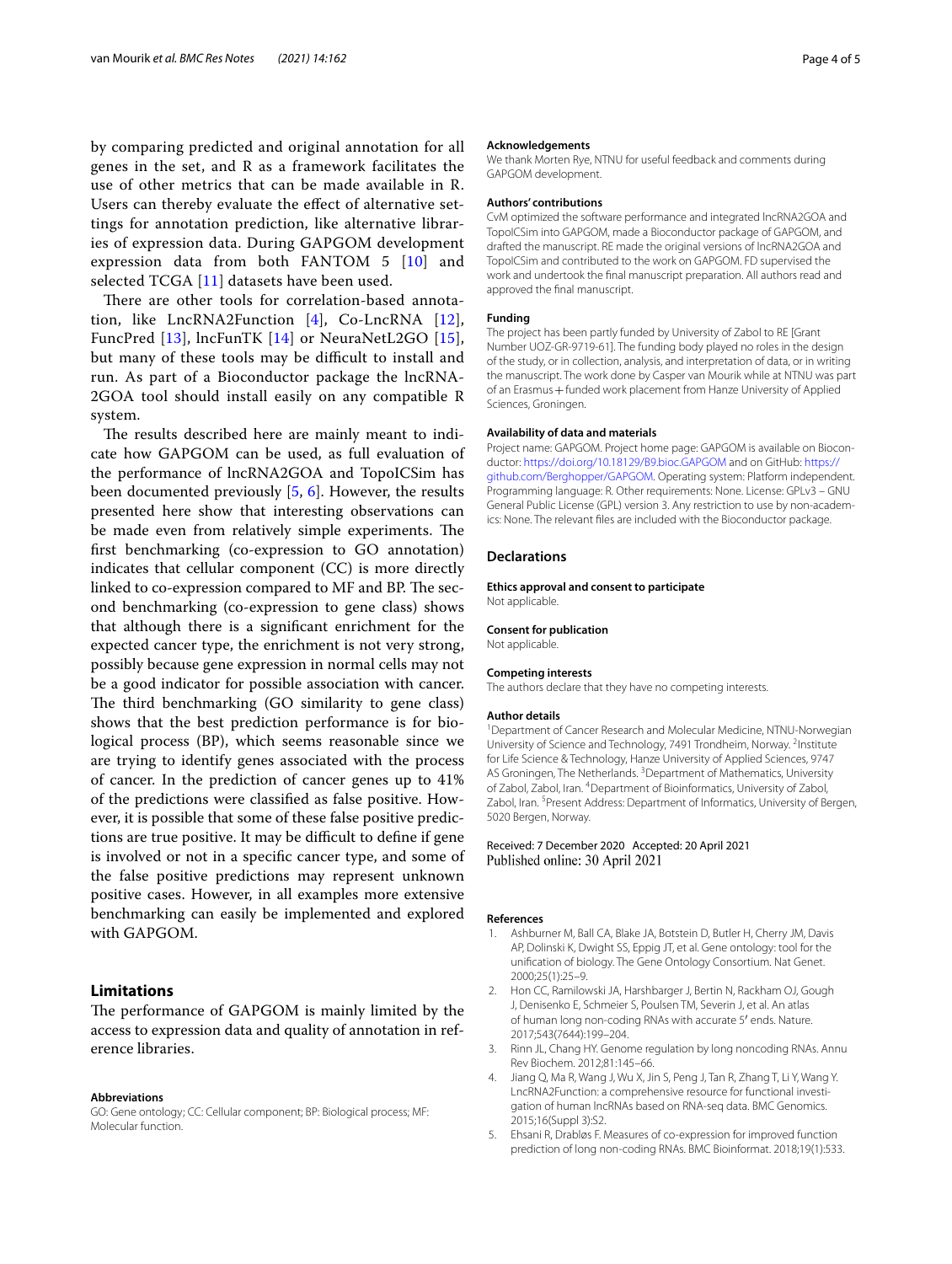by comparing predicted and original annotation for all genes in the set, and R as a framework facilitates the use of other metrics that can be made available in R. Users can thereby evaluate the efect of alternative settings for annotation prediction, like alternative libraries of expression data. During GAPGOM development expression data from both FANTOM 5 [\[10\]](#page-4-4) and selected TCGA [[11\]](#page-4-5) datasets have been used.

There are other tools for correlation-based annotation, like LncRNA2Function [\[4\]](#page-3-3), Co-LncRNA [[12\]](#page-4-6), FuncPred [[13\]](#page-4-7), lncFunTK [[14](#page-4-8)] or NeuraNetL2GO [[15](#page-4-9)], but many of these tools may be difficult to install and run. As part of a Bioconductor package the lncRNA-2GOA tool should install easily on any compatible R system.

The results described here are mainly meant to indicate how GAPGOM can be used, as full evaluation of the performance of lncRNA2GOA and TopoICSim has been documented previously [\[5](#page-3-4), [6](#page-4-0)]. However, the results presented here show that interesting observations can be made even from relatively simple experiments. The frst benchmarking (co-expression to GO annotation) indicates that cellular component (CC) is more directly linked to co-expression compared to MF and BP. The second benchmarking (co-expression to gene class) shows that although there is a signifcant enrichment for the expected cancer type, the enrichment is not very strong, possibly because gene expression in normal cells may not be a good indicator for possible association with cancer. The third benchmarking (GO similarity to gene class) shows that the best prediction performance is for biological process (BP), which seems reasonable since we are trying to identify genes associated with the process of cancer. In the prediction of cancer genes up to 41% of the predictions were classifed as false positive. However, it is possible that some of these false positive predictions are true positive. It may be difficult to define if gene is involved or not in a specifc cancer type, and some of the false positive predictions may represent unknown positive cases. However, in all examples more extensive benchmarking can easily be implemented and explored with GAPGOM.

## **Limitations**

The performance of GAPGOM is mainly limited by the access to expression data and quality of annotation in reference libraries.

#### **Abbreviations**

GO: Gene ontology; CC: Cellular component; BP: Biological process; MF: Molecular function.

#### **Acknowledgements**

We thank Morten Rye, NTNU for useful feedback and comments during GAPGOM development.

#### **Authors' contributions**

CvM optimized the software performance and integrated lncRNA2GOA and TopoICSim into GAPGOM, made a Bioconductor package of GAPGOM, and drafted the manuscript. RE made the original versions of lncRNA2GOA and TopoICSim and contributed to the work on GAPGOM. FD supervised the work and undertook the fnal manuscript preparation. All authors read and approved the fnal manuscript.

#### **Funding**

The project has been partly funded by University of Zabol to RE [Grant Number UOZ-GR-9719-61]. The funding body played no roles in the design of the study, or in collection, analysis, and interpretation of data, or in writing the manuscript. The work done by Casper van Mourik while at NTNU was part of an Erasmus + funded work placement from Hanze University of Applied Sciences, Groningen.

#### **Availability of data and materials**

Project name: GAPGOM. Project home page: GAPGOM is available on Bioconductor: <https://doi.org/10.18129/B9.bioc.GAPGOM>and on GitHub: [https://](https://github.com/Berghopper/GAPGOM) [github.com/Berghopper/GAPGOM.](https://github.com/Berghopper/GAPGOM) Operating system: Platform independent. Programming language: R. Other requirements: None. License: GPLv3 – GNU General Public License (GPL) version 3. Any restriction to use by non-academics: None. The relevant fles are included with the Bioconductor package.

## **Declarations**

**Ethics approval and consent to participate** Not applicable.

## **Consent for publication**

Not applicable.

#### **Competing interests**

The authors declare that they have no competing interests.

#### **Author details**

<sup>1</sup> Department of Cancer Research and Molecular Medicine, NTNU-Norwegian University of Science and Technology, 7491 Trondheim, Norway. <sup>2</sup>Institute for Life Science & Technology, Hanze University of Applied Sciences, 9747 AS Groningen, The Netherlands.<sup>3</sup> Department of Mathematics, University of Zabol, Zabol, Iran. <sup>4</sup> Department of Bioinformatics, University of Zabol, Zabol, Iran. <sup>5</sup> Present Address: Department of Informatics, University of Bergen, 5020 Bergen, Norway.

#### Received: 7 December 2020 Accepted: 20 April 2021 Published online: 30 April 2021

#### **References**

- <span id="page-3-0"></span>1. Ashburner M, Ball CA, Blake JA, Botstein D, Butler H, Cherry JM, Davis AP, Dolinski K, Dwight SS, Eppig JT, et al. Gene ontology: tool for the unifcation of biology. The Gene Ontology Consortium. Nat Genet. 2000;25(1):25–9.
- <span id="page-3-1"></span>2. Hon CC, Ramilowski JA, Harshbarger J, Bertin N, Rackham OJ, Gough J, Denisenko E, Schmeier S, Poulsen TM, Severin J, et al. An atlas of human long non-coding RNAs with accurate 5′ ends. Nature. 2017;543(7644):199–204.
- <span id="page-3-2"></span>3. Rinn JL, Chang HY. Genome regulation by long noncoding RNAs. Annu Rev Biochem. 2012;81:145–66.
- <span id="page-3-3"></span>Jiang Q, Ma R, Wang J, Wu X, Jin S, Peng J, Tan R, Zhang T, Li Y, Wang Y. LncRNA2Function: a comprehensive resource for functional investigation of human lncRNAs based on RNA-seq data. BMC Genomics. 2015;16(Suppl 3):S2.
- <span id="page-3-4"></span>5. Ehsani R, Drabløs F. Measures of co-expression for improved function prediction of long non-coding RNAs. BMC Bioinformat. 2018;19(1):533.